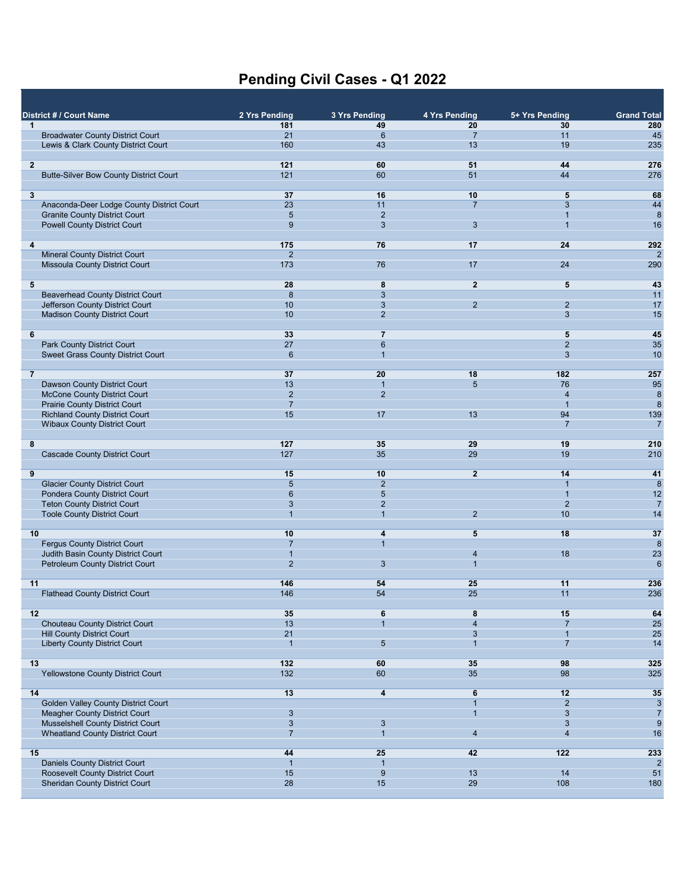## **Pending Civil Cases - Q1 2022**

| $\mathbf{1}$   | District # / Court Name                                                     | 2 Yrs Pending<br>181           | 3 Yrs Pending<br>49              | 4 Yrs Pending<br>20  | 5+ Yrs Pending<br>30           | <b>Grand Total</b><br>280          |
|----------------|-----------------------------------------------------------------------------|--------------------------------|----------------------------------|----------------------|--------------------------------|------------------------------------|
|                | <b>Broadwater County District Court</b>                                     | 21                             | 6                                | $\overline{7}$       | 11                             | 45                                 |
|                | Lewis & Clark County District Court                                         | 160                            | 43                               | 13                   | 19                             | 235                                |
| $\overline{2}$ |                                                                             | 121                            | 60                               | 51                   | 44                             | 276                                |
|                | <b>Butte-Silver Bow County District Court</b>                               | 121                            | 60                               | 51                   | 44                             | 276                                |
|                |                                                                             |                                |                                  |                      |                                |                                    |
| 3              | Anaconda-Deer Lodge County District Court                                   | 37<br>23                       | 16<br>11                         | 10<br>$\overline{7}$ | 5<br>3                         | 68<br>44                           |
|                | <b>Granite County District Court</b>                                        | 5                              | $\overline{2}$                   |                      |                                | 8                                  |
|                | <b>Powell County District Court</b>                                         | 9                              | 3                                | 3                    | $\overline{1}$                 | 16                                 |
|                |                                                                             |                                | 76                               | 17                   | 24                             |                                    |
| 4              | <b>Mineral County District Court</b>                                        | 175<br>$\overline{2}$          |                                  |                      |                                | 292<br>$\overline{2}$              |
|                | Missoula County District Court                                              | 173                            | 76                               | 17                   | 24                             | 290                                |
|                |                                                                             |                                |                                  |                      |                                |                                    |
| 5              | <b>Beaverhead County District Court</b>                                     | 28<br>$\boldsymbol{8}$         | 8<br>$\mathbf{3}$                | $\overline{2}$       | 5                              | 43<br>11                           |
|                | Jefferson County District Court                                             | 10                             | 3                                | $\overline{2}$       | $\overline{2}$                 | 17                                 |
|                | <b>Madison County District Court</b>                                        | 10                             | 2                                |                      | $\mathbf{3}$                   | 15                                 |
|                |                                                                             |                                | $\overline{7}$                   |                      |                                |                                    |
| 6              | <b>Park County District Court</b>                                           | 33<br>27                       | $6\phantom{1}$                   |                      | 5<br>$\overline{2}$            | 45<br>35                           |
|                | <b>Sweet Grass County District Court</b>                                    | $6\phantom{1}6$                | 1                                |                      | $\mathbf{3}$                   | 10                                 |
|                |                                                                             |                                |                                  |                      |                                |                                    |
| $\overline{7}$ |                                                                             | 37<br>13                       | 20                               | 18<br>5              | 182<br>76                      | 257<br>95                          |
|                | Dawson County District Court<br><b>McCone County District Court</b>         | $\overline{2}$                 | $\overline{1}$<br>$\overline{2}$ |                      | $\overline{4}$                 | 8                                  |
|                | <b>Prairie County District Court</b>                                        | $\overline{7}$                 |                                  |                      | $\overline{1}$                 | 8                                  |
|                | <b>Richland County District Court</b>                                       | 15                             | 17                               | 13                   | 94                             | 139                                |
|                | <b>Wibaux County District Court</b>                                         |                                |                                  |                      | $\overline{7}$                 | 7                                  |
| 8              |                                                                             | 127                            | 35                               | 29                   | 19                             | 210                                |
|                | <b>Cascade County District Court</b>                                        | 127                            | 35                               | 29                   | 19                             | 210                                |
|                |                                                                             |                                |                                  |                      |                                |                                    |
| 9              | <b>Glacier County District Court</b>                                        | 15<br>5                        | 10<br>$\overline{2}$             | $\mathbf{2}$         | 14<br>$\overline{1}$           | 41<br>8                            |
|                | <b>Pondera County District Court</b>                                        | $6\phantom{1}6$                | $\sqrt{5}$                       |                      | $\mathbf{1}$                   | 12                                 |
|                | <b>Teton County District Court</b>                                          | 3                              | 2                                |                      | $\overline{2}$                 | $\overline{7}$                     |
|                | <b>Toole County District Court</b>                                          | $\overline{1}$                 | 1                                | $\overline{2}$       | 10                             | 14                                 |
| 10             |                                                                             | 10                             | 4                                | 5                    | 18                             | 37                                 |
|                | <b>Fergus County District Court</b>                                         | $\overline{7}$                 | $\mathbf{1}$                     |                      |                                | 8                                  |
|                | Judith Basin County District Court                                          | $\overline{1}$                 |                                  | $\overline{4}$       | 18                             | 23                                 |
|                | <b>Petroleum County District Court</b>                                      | $\overline{2}$                 | 3                                | $\overline{1}$       |                                | $6\phantom{1}6$                    |
| 11             |                                                                             | 146                            | 54                               | 25                   | 11                             | 236                                |
|                | <b>Flathead County District Court</b>                                       | 146                            | 54                               | 25                   | 11                             | 236                                |
|                |                                                                             |                                |                                  |                      |                                |                                    |
| 12             | Chouteau County District Court                                              | 35<br>13                       | 6<br>$\mathbf{1}$                | 8<br>$\overline{4}$  | 15<br>$\overline{7}$           | 64<br>25                           |
|                | <b>Hill County District Court</b>                                           | 21                             |                                  | 3                    | 1                              | 25                                 |
|                | <b>Liberty County District Court</b>                                        | $\mathbf{1}$                   | $5\phantom{.0}$                  | $\overline{1}$       | $\overline{7}$                 | 14                                 |
|                |                                                                             |                                |                                  |                      |                                |                                    |
| 13             | Yellowstone County District Court                                           | 132<br>132                     | 60<br>60                         | 35<br>35             | 98<br>98                       | 325<br>325                         |
|                |                                                                             |                                |                                  |                      |                                |                                    |
| 14             |                                                                             | 13                             | 4                                | 6                    | 12                             | 35                                 |
|                | Golden Valley County District Court<br><b>Meagher County District Court</b> |                                |                                  | $\mathbf{1}$         | $\overline{2}$<br>$\mathbf{3}$ | 3                                  |
|                | <b>Musselshell County District Court</b>                                    | $\mathbf{3}$<br>$\overline{3}$ | $\mathbf{3}$                     |                      | 3                              | $\overline{7}$<br>$\boldsymbol{9}$ |
|                | <b>Wheatland County District Court</b>                                      | $\overline{7}$                 | 1                                | $\overline{4}$       | $\overline{4}$                 | 16                                 |
|                |                                                                             |                                |                                  |                      |                                |                                    |
| 15             | Daniels County District Court                                               | 44<br>$\mathbf{1}$             | 25<br>$\overline{1}$             | 42                   | 122                            | 233<br>$\overline{2}$              |
|                | Roosevelt County District Court                                             | 15                             | 9                                | 13                   | 14                             | 51                                 |
|                | <b>Sheridan County District Court</b>                                       | 28                             | 15                               | 29                   | 108                            | 180                                |
|                |                                                                             |                                |                                  |                      |                                |                                    |